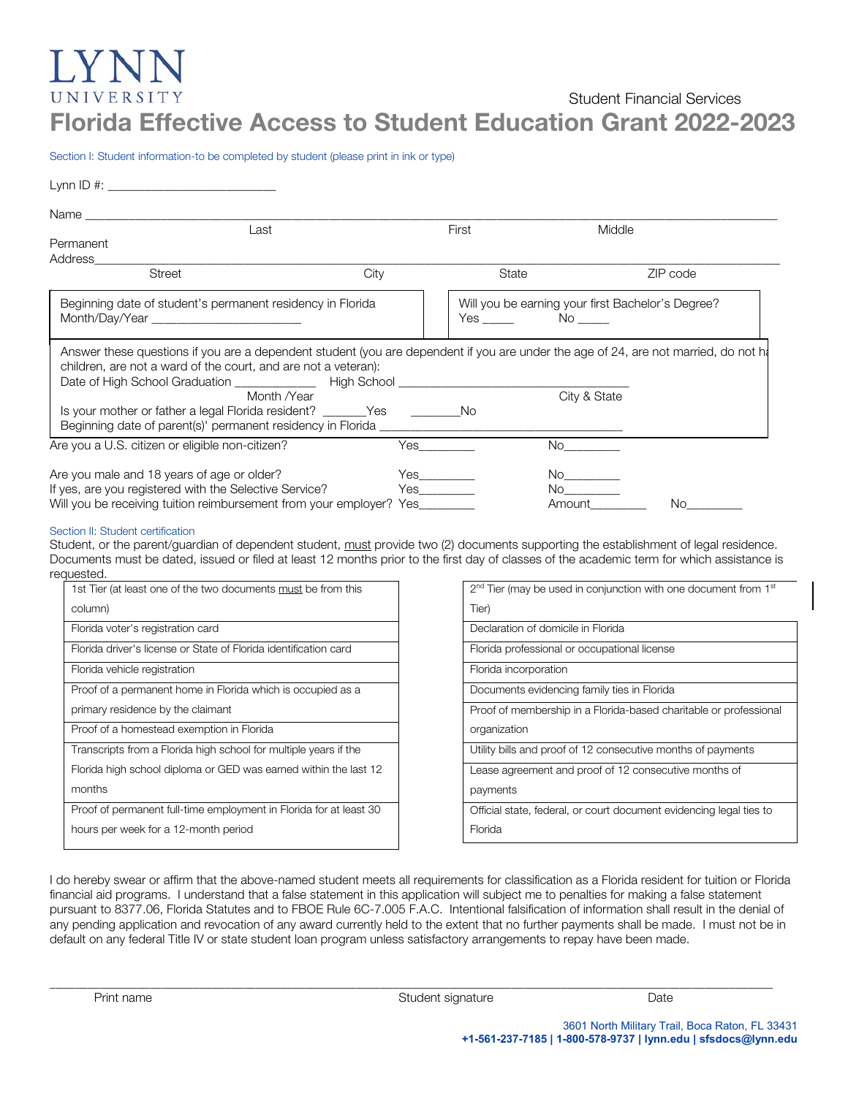# LY N UNIVERSITY Student Financial Services Florida Effective Access to Student Education Grant 2022-2023

Section I: Student information-to be completed by student (please print in ink or type)

| Lynn ID #: ________________________________                                                                                                                                                          |      |                                                                 |              |          |
|------------------------------------------------------------------------------------------------------------------------------------------------------------------------------------------------------|------|-----------------------------------------------------------------|--------------|----------|
|                                                                                                                                                                                                      |      |                                                                 |              |          |
| Last                                                                                                                                                                                                 |      | First                                                           | Middle       |          |
| Permanent<br>Address                                                                                                                                                                                 |      |                                                                 |              |          |
| <b>Street</b>                                                                                                                                                                                        | City | State                                                           |              | ZIP code |
| Beginning date of student's permanent residency in Florida                                                                                                                                           |      | Will you be earning your first Bachelor's Degree?<br>$Yes \tN0$ |              |          |
| Answer these questions if you are a dependent student (you are dependent if you are under the age of 24, are not married, do not h<br>children, are not a ward of the court, and are not a veteran): |      |                                                                 |              |          |
| Month <i>Near</i>                                                                                                                                                                                    |      |                                                                 | City & State |          |
| Is your mother or father a legal Florida resident? _______Yes _______________No                                                                                                                      |      |                                                                 |              |          |
| Are you a U.S. citizen or eligible non-citizen?                                                                                                                                                      |      |                                                                 |              |          |
| Are you male and 18 years of age or older?<br>If yes, are you registered with the Selective Service?                                                                                                 |      | Yes <b>Ship Strategies</b>                                      | No<br>No     |          |
| Will you be receiving tuition reimbursement from your employer? Yes________                                                                                                                          |      |                                                                 | No.          |          |

### Section II: Student certification

Student, or the parent/guardian of dependent student, must provide two (2) documents supporting the establishment of legal residence. Documents must be dated, issued or filed at least 12 months prior to the first day of classes of the academic term for which assistance is requested.

| 1st Tier (at least one of the two documents must be from this      |
|--------------------------------------------------------------------|
| column)                                                            |
| Florida voter's registration card                                  |
| Florida driver's license or State of Florida identification card   |
| Florida vehicle registration                                       |
| Proof of a permanent home in Florida which is occupied as a        |
| primary residence by the claimant                                  |
| Proof of a homestead exemption in Florida                          |
| Transcripts from a Florida high school for multiple years if the   |
| Florida high school diploma or GED was earned within the last 12   |
| months                                                             |
| Proof of permanent full-time employment in Florida for at least 30 |
| hours per week for a 12-month period                               |
|                                                                    |

| 2 <sup>nd</sup> Tier (may be used in conjunction with one document from 1 <sup>st</sup> |  |  |
|-----------------------------------------------------------------------------------------|--|--|
| Tier)                                                                                   |  |  |
| Declaration of domicile in Florida                                                      |  |  |
| Florida professional or occupational license                                            |  |  |
| Florida incorporation                                                                   |  |  |
| Documents evidencing family ties in Florida                                             |  |  |
| Proof of membership in a Florida-based charitable or professional                       |  |  |
| organization                                                                            |  |  |
| Utility bills and proof of 12 consecutive months of payments                            |  |  |
| Lease agreement and proof of 12 consecutive months of                                   |  |  |
| payments                                                                                |  |  |
| Official state, federal, or court document evidencing legal ties to                     |  |  |
| Florida                                                                                 |  |  |

I do hereby swear or affirm that the above-named student meets all requirements for classification as a Florida resident for tuition or Florida financial aid programs. I understand that a false statement in this application will subject me to penalties for making a false statement pursuant to 8377.06, Florida Statutes and to FBOE Rule 6C-7.005 F.A.C. Intentional falsification of information shall result in the denial of any pending application and revocation of any award currently held to the extent that no further payments shall be made. I must not be in default on any federal Title IV or state student loan program unless satisfactory arrangements to repay have been made.

\_\_\_\_\_\_\_\_\_\_\_\_\_\_\_\_\_\_\_\_\_\_\_\_\_\_\_\_\_\_\_\_\_\_\_\_\_\_\_\_\_\_\_\_\_\_\_\_\_\_\_\_\_\_\_\_\_\_\_\_\_\_\_\_\_\_\_\_\_\_\_\_\_\_\_\_\_\_\_\_\_\_\_\_\_\_\_\_\_\_\_\_\_\_\_\_\_\_\_\_\_\_\_\_\_\_\_\_\_\_\_\_\_\_\_\_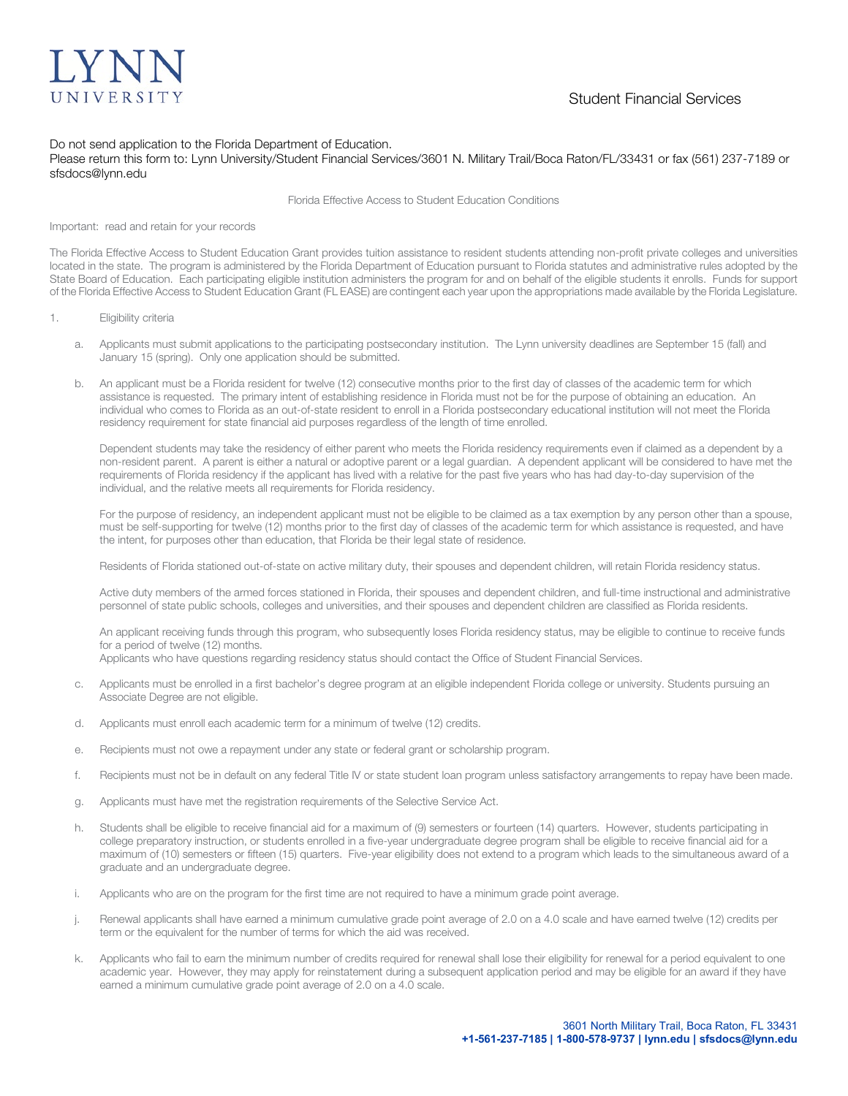

## Do not send application to the Florida Department of Education.

Please return this form to: Lynn University/Student Financial Services/3601 N. Military Trail/Boca Raton/FL/33431 or fax (561) 237-7189 or sfsdocs@lynn.edu

Florida Effective Access to Student Education Conditions

### Important: read and retain for your records

The Florida Effective Access to Student Education Grant provides tuition assistance to resident students attending non-profit private colleges and universities located in the state. The program is administered by the Florida Department of Education pursuant to Florida statutes and administrative rules adopted by the State Board of Education. Each participating eligible institution administers the program for and on behalf of the eligible students it enrolls. Funds for support of the Florida Effective Access to Student Education Grant (FL EASE) are contingent each year upon the appropriations made available by the Florida Legislature.

- 1. Eligibility criteria
	- a. Applicants must submit applications to the participating postsecondary institution. The Lynn university deadlines are September 15 (fall) and January 15 (spring). Only one application should be submitted.
	- b. An applicant must be a Florida resident for twelve (12) consecutive months prior to the first day of classes of the academic term for which assistance is requested. The primary intent of establishing residence in Florida must not be for the purpose of obtaining an education. An individual who comes to Florida as an out-of-state resident to enroll in a Florida postsecondary educational institution will not meet the Florida residency requirement for state financial aid purposes regardless of the length of time enrolled.

Dependent students may take the residency of either parent who meets the Florida residency requirements even if claimed as a dependent by a non-resident parent. A parent is either a natural or adoptive parent or a legal guardian. A dependent applicant will be considered to have met the requirements of Florida residency if the applicant has lived with a relative for the past five years who has had day-to-day supervision of the individual, and the relative meets all requirements for Florida residency.

For the purpose of residency, an independent applicant must not be eligible to be claimed as a tax exemption by any person other than a spouse, must be self-supporting for twelve (12) months prior to the first day of classes of the academic term for which assistance is requested, and have the intent, for purposes other than education, that Florida be their legal state of residence.

Residents of Florida stationed out-of-state on active military duty, their spouses and dependent children, will retain Florida residency status.

Active duty members of the armed forces stationed in Florida, their spouses and dependent children, and full-time instructional and administrative personnel of state public schools, colleges and universities, and their spouses and dependent children are classified as Florida residents.

An applicant receiving funds through this program, who subsequently loses Florida residency status, may be eligible to continue to receive funds for a period of twelve (12) months.

Applicants who have questions regarding residency status should contact the Office of Student Financial Services.

- c. Applicants must be enrolled in a first bachelor's degree program at an eligible independent Florida college or university. Students pursuing an Associate Degree are not eligible.
- d. Applicants must enroll each academic term for a minimum of twelve (12) credits.
- e. Recipients must not owe a repayment under any state or federal grant or scholarship program.
- f. Recipients must not be in default on any federal Title IV or state student loan program unless satisfactory arrangements to repay have been made.
- g. Applicants must have met the registration requirements of the Selective Service Act.
- h. Students shall be eligible to receive financial aid for a maximum of (9) semesters or fourteen (14) quarters. However, students participating in college preparatory instruction, or students enrolled in a five-year undergraduate degree program shall be eligible to receive financial aid for a maximum of (10) semesters or fifteen (15) quarters. Five-year eligibility does not extend to a program which leads to the simultaneous award of a graduate and an undergraduate degree.
- i. Applicants who are on the program for the first time are not required to have a minimum grade point average.
- j. Renewal applicants shall have earned a minimum cumulative grade point average of 2.0 on a 4.0 scale and have earned twelve (12) credits per term or the equivalent for the number of terms for which the aid was received.
- k. Applicants who fail to earn the minimum number of credits required for renewal shall lose their eligibility for renewal for a period equivalent to one academic year. However, they may apply for reinstatement during a subsequent application period and may be eligible for an award if they have earned a minimum cumulative grade point average of 2.0 on a 4.0 scale.